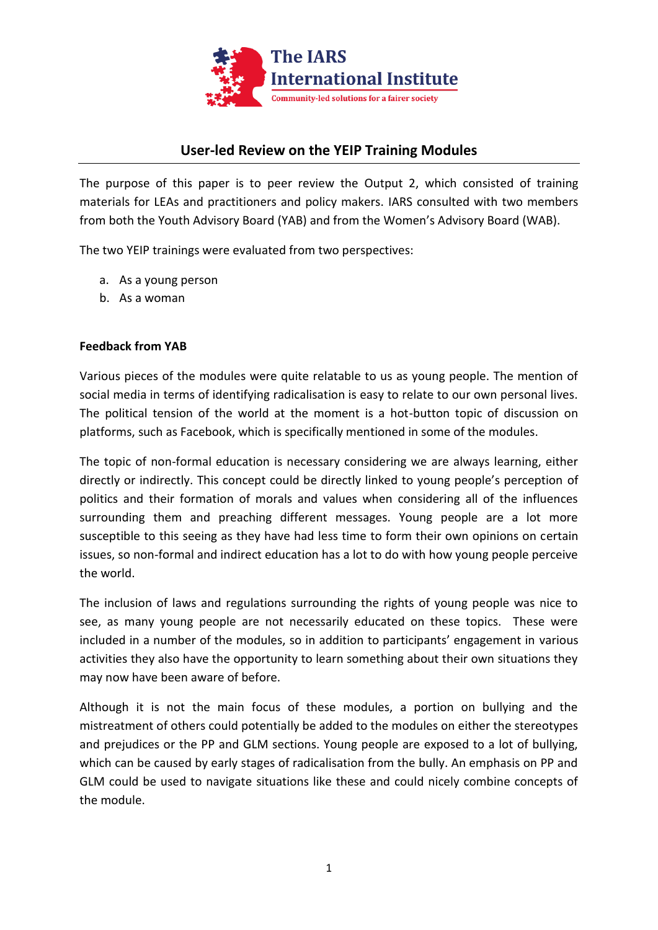

## **User-led Review on the YEIP Training Modules**

The purpose of this paper is to peer review the Output 2, which consisted of training materials for LEAs and practitioners and policy makers. IARS consulted with two members from both the Youth Advisory Board (YAB) and from the Women's Advisory Board (WAB).

The two YEIP trainings were evaluated from two perspectives:

- a. As a young person
- b. As a woman

## **Feedback from YAB**

Various pieces of the modules were quite relatable to us as young people. The mention of social media in terms of identifying radicalisation is easy to relate to our own personal lives. The political tension of the world at the moment is a hot-button topic of discussion on platforms, such as Facebook, which is specifically mentioned in some of the modules.

The topic of non-formal education is necessary considering we are always learning, either directly or indirectly. This concept could be directly linked to young people's perception of politics and their formation of morals and values when considering all of the influences surrounding them and preaching different messages. Young people are a lot more susceptible to this seeing as they have had less time to form their own opinions on certain issues, so non-formal and indirect education has a lot to do with how young people perceive the world.

The inclusion of laws and regulations surrounding the rights of young people was nice to see, as many young people are not necessarily educated on these topics. These were included in a number of the modules, so in addition to participants' engagement in various activities they also have the opportunity to learn something about their own situations they may now have been aware of before.

Although it is not the main focus of these modules, a portion on bullying and the mistreatment of others could potentially be added to the modules on either the stereotypes and prejudices or the PP and GLM sections. Young people are exposed to a lot of bullying, which can be caused by early stages of radicalisation from the bully. An emphasis on PP and GLM could be used to navigate situations like these and could nicely combine concepts of the module.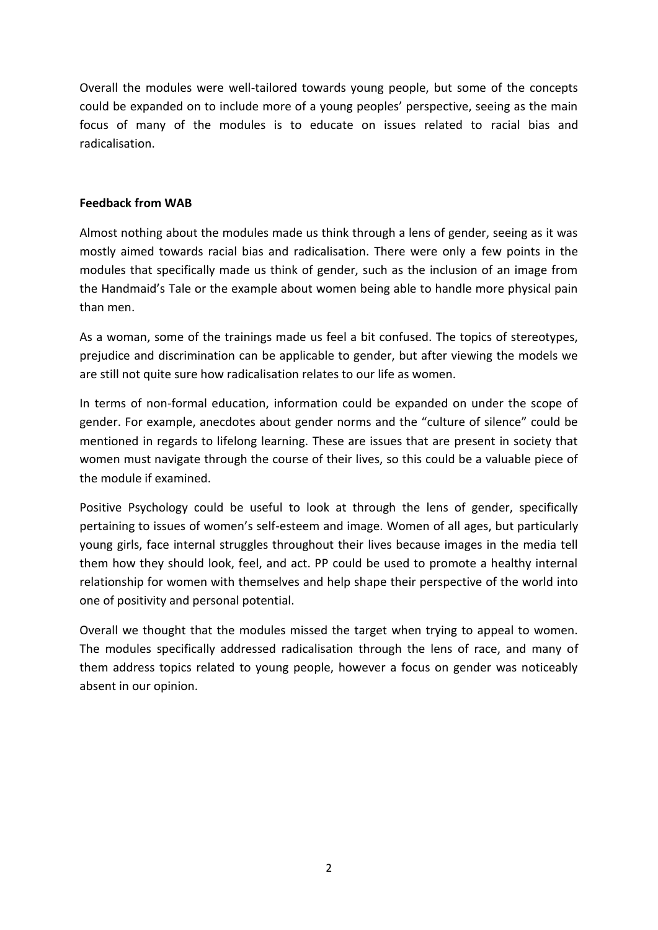Overall the modules were well-tailored towards young people, but some of the concepts could be expanded on to include more of a young peoples' perspective, seeing as the main focus of many of the modules is to educate on issues related to racial bias and radicalisation.

## **Feedback from WAB**

Almost nothing about the modules made us think through a lens of gender, seeing as it was mostly aimed towards racial bias and radicalisation. There were only a few points in the modules that specifically made us think of gender, such as the inclusion of an image from the Handmaid's Tale or the example about women being able to handle more physical pain than men.

As a woman, some of the trainings made us feel a bit confused. The topics of stereotypes, prejudice and discrimination can be applicable to gender, but after viewing the models we are still not quite sure how radicalisation relates to our life as women.

In terms of non-formal education, information could be expanded on under the scope of gender. For example, anecdotes about gender norms and the "culture of silence" could be mentioned in regards to lifelong learning. These are issues that are present in society that women must navigate through the course of their lives, so this could be a valuable piece of the module if examined.

Positive Psychology could be useful to look at through the lens of gender, specifically pertaining to issues of women's self-esteem and image. Women of all ages, but particularly young girls, face internal struggles throughout their lives because images in the media tell them how they should look, feel, and act. PP could be used to promote a healthy internal relationship for women with themselves and help shape their perspective of the world into one of positivity and personal potential.

Overall we thought that the modules missed the target when trying to appeal to women. The modules specifically addressed radicalisation through the lens of race, and many of them address topics related to young people, however a focus on gender was noticeably absent in our opinion.